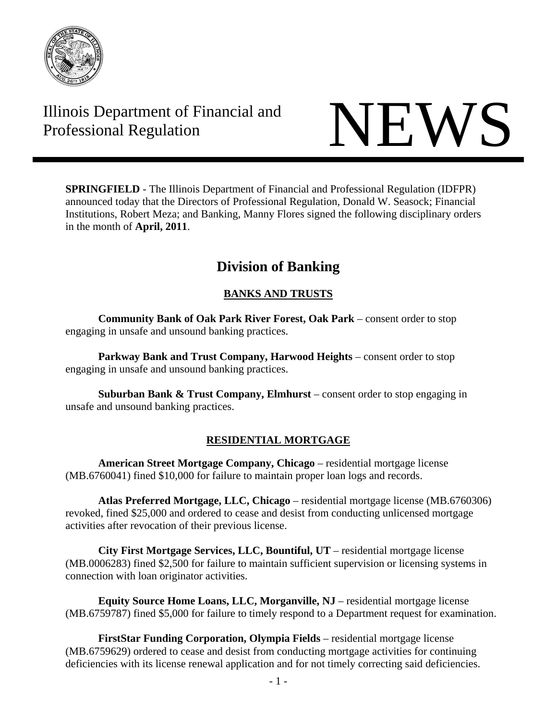

# Illinois Department of Financial and Illinois Department of Financial and<br>Professional Regulation



**SPRINGFIELD** - The Illinois Department of Financial and Professional Regulation (IDFPR) announced today that the Directors of Professional Regulation, Donald W. Seasock; Financial Institutions, Robert Meza; and Banking, Manny Flores signed the following disciplinary orders in the month of **April, 2011**.

# **Division of Banking**

## **BANKS AND TRUSTS**

**Community Bank of Oak Park River Forest, Oak Park** – consent order to stop engaging in unsafe and unsound banking practices.

 **Parkway Bank and Trust Company, Harwood Heights** – consent order to stop engaging in unsafe and unsound banking practices.

**Suburban Bank & Trust Company, Elmhurst** – consent order to stop engaging in unsafe and unsound banking practices.

### **RESIDENTIAL MORTGAGE**

**American Street Mortgage Company, Chicago** – residential mortgage license (MB.6760041) fined \$10,000 for failure to maintain proper loan logs and records.

**Atlas Preferred Mortgage, LLC, Chicago** – residential mortgage license (MB.6760306) revoked, fined \$25,000 and ordered to cease and desist from conducting unlicensed mortgage activities after revocation of their previous license.

**City First Mortgage Services, LLC, Bountiful, UT** – residential mortgage license (MB.0006283) fined \$2,500 for failure to maintain sufficient supervision or licensing systems in connection with loan originator activities.

**Equity Source Home Loans, LLC, Morganville, NJ** – residential mortgage license (MB.6759787) fined \$5,000 for failure to timely respond to a Department request for examination.

**FirstStar Funding Corporation, Olympia Fields** – residential mortgage license (MB.6759629) ordered to cease and desist from conducting mortgage activities for continuing deficiencies with its license renewal application and for not timely correcting said deficiencies.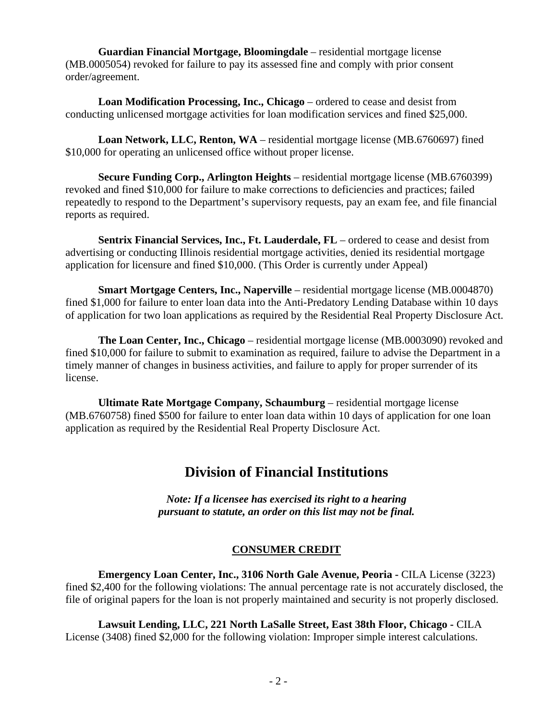**Guardian Financial Mortgage, Bloomingdale** – residential mortgage license (MB.0005054) revoked for failure to pay its assessed fine and comply with prior consent order/agreement.

**Loan Modification Processing, Inc., Chicago** – ordered to cease and desist from conducting unlicensed mortgage activities for loan modification services and fined \$25,000.

**Loan Network, LLC, Renton, WA** – residential mortgage license (MB.6760697) fined \$10,000 for operating an unlicensed office without proper license.

**Secure Funding Corp., Arlington Heights** – residential mortgage license (MB.6760399) revoked and fined \$10,000 for failure to make corrections to deficiencies and practices; failed repeatedly to respond to the Department's supervisory requests, pay an exam fee, and file financial reports as required.

**Sentrix Financial Services, Inc., Ft. Lauderdale, FL** – ordered to cease and desist from advertising or conducting Illinois residential mortgage activities, denied its residential mortgage application for licensure and fined \$10,000. (This Order is currently under Appeal)

**Smart Mortgage Centers, Inc., Naperville** – residential mortgage license (MB.0004870) fined \$1,000 for failure to enter loan data into the Anti-Predatory Lending Database within 10 days of application for two loan applications as required by the Residential Real Property Disclosure Act.

**The Loan Center, Inc., Chicago** – residential mortgage license (MB.0003090) revoked and fined \$10,000 for failure to submit to examination as required, failure to advise the Department in a timely manner of changes in business activities, and failure to apply for proper surrender of its license.

**Ultimate Rate Mortgage Company, Schaumburg** – residential mortgage license (MB.6760758) fined \$500 for failure to enter loan data within 10 days of application for one loan application as required by the Residential Real Property Disclosure Act.

# **Division of Financial Institutions**

*Note: If a licensee has exercised its right to a hearing pursuant to statute, an order on this list may not be final.* 

#### **CONSUMER CREDIT**

**Emergency Loan Center, Inc., 3106 North Gale Avenue, Peoria -** CILA License (3223) fined \$2,400 for the following violations: The annual percentage rate is not accurately disclosed, the file of original papers for the loan is not properly maintained and security is not properly disclosed.

**Lawsuit Lending, LLC, 221 North LaSalle Street, East 38th Floor, Chicago -** CILA License (3408) fined \$2,000 for the following violation: Improper simple interest calculations.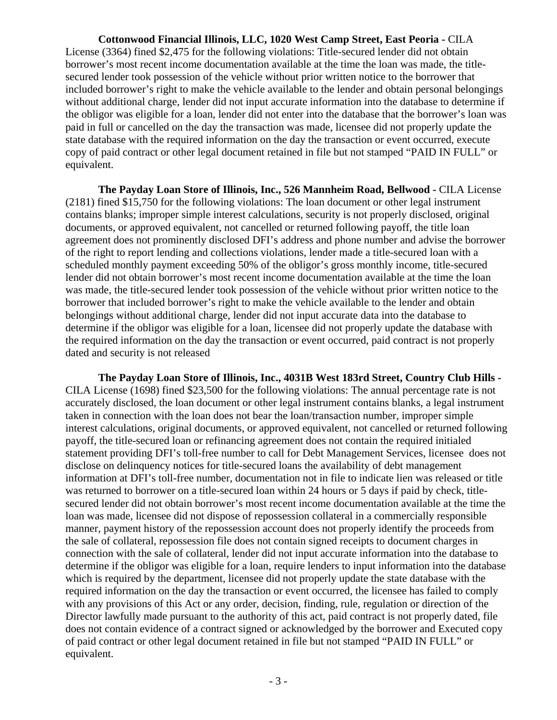**Cottonwood Financial Illinois, LLC, 1020 West Camp Street, East Peoria -** CILA License (3364) fined \$2,475 for the following violations: Title-secured lender did not obtain borrower's most recent income documentation available at the time the loan was made, the titlesecured lender took possession of the vehicle without prior written notice to the borrower that included borrower's right to make the vehicle available to the lender and obtain personal belongings without additional charge, lender did not input accurate information into the database to determine if the obligor was eligible for a loan, lender did not enter into the database that the borrower's loan was paid in full or cancelled on the day the transaction was made, licensee did not properly update the state database with the required information on the day the transaction or event occurred, execute copy of paid contract or other legal document retained in file but not stamped "PAID IN FULL" or equivalent.

**The Payday Loan Store of Illinois, Inc., 526 Mannheim Road, Bellwood -** CILA License (2181) fined \$15,750 for the following violations: The loan document or other legal instrument contains blanks; improper simple interest calculations, security is not properly disclosed, original documents, or approved equivalent, not cancelled or returned following payoff, the title loan agreement does not prominently disclosed DFI's address and phone number and advise the borrower of the right to report lending and collections violations, lender made a title-secured loan with a scheduled monthly payment exceeding 50% of the obligor's gross monthly income, title-secured lender did not obtain borrower's most recent income documentation available at the time the loan was made, the title-secured lender took possession of the vehicle without prior written notice to the borrower that included borrower's right to make the vehicle available to the lender and obtain belongings without additional charge, lender did not input accurate data into the database to determine if the obligor was eligible for a loan, licensee did not properly update the database with the required information on the day the transaction or event occurred, paid contract is not properly dated and security is not released

**The Payday Loan Store of Illinois, Inc., 4031B West 183rd Street, Country Club Hills -** CILA License (1698) fined \$23,500 for the following violations: The annual percentage rate is not accurately disclosed, the loan document or other legal instrument contains blanks, a legal instrument taken in connection with the loan does not bear the loan/transaction number, improper simple interest calculations, original documents, or approved equivalent, not cancelled or returned following payoff, the title-secured loan or refinancing agreement does not contain the required initialed statement providing DFI's toll-free number to call for Debt Management Services, licensee does not disclose on delinquency notices for title-secured loans the availability of debt management information at DFI's toll-free number, documentation not in file to indicate lien was released or title was returned to borrower on a title-secured loan within 24 hours or 5 days if paid by check, titlesecured lender did not obtain borrower's most recent income documentation available at the time the loan was made, licensee did not dispose of repossession collateral in a commercially responsible manner, payment history of the repossession account does not properly identify the proceeds from the sale of collateral, repossession file does not contain signed receipts to document charges in connection with the sale of collateral, lender did not input accurate information into the database to determine if the obligor was eligible for a loan, require lenders to input information into the database which is required by the department, licensee did not properly update the state database with the required information on the day the transaction or event occurred, the licensee has failed to comply with any provisions of this Act or any order, decision, finding, rule, regulation or direction of the Director lawfully made pursuant to the authority of this act, paid contract is not properly dated, file does not contain evidence of a contract signed or acknowledged by the borrower and Executed copy of paid contract or other legal document retained in file but not stamped "PAID IN FULL" or equivalent.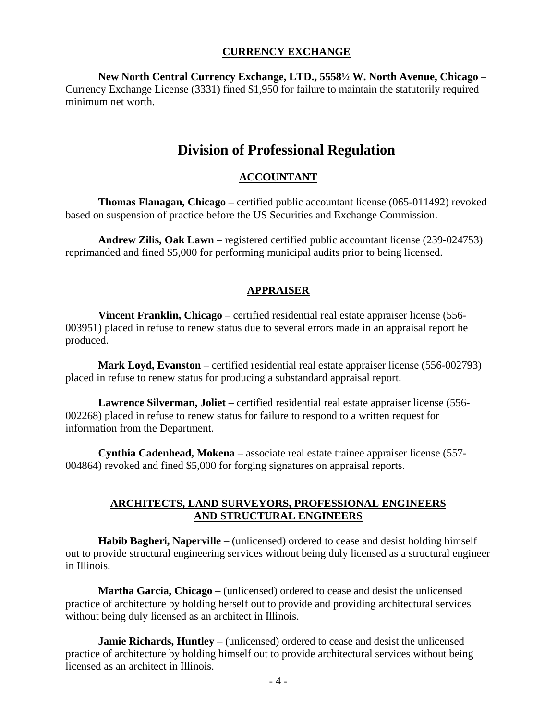#### **CURRENCY EXCHANGE**

**New North Central Currency Exchange, LTD., 5558½ W. North Avenue, Chicago** – Currency Exchange License (3331) fined \$1,950 for failure to maintain the statutorily required minimum net worth.

# **Division of Professional Regulation**

#### **ACCOUNTANT**

 **Thomas Flanagan, Chicago** – certified public accountant license (065-011492) revoked based on suspension of practice before the US Securities and Exchange Commission.

 **Andrew Zilis, Oak Lawn** – registered certified public accountant license (239-024753) reprimanded and fined \$5,000 for performing municipal audits prior to being licensed.

#### **APPRAISER**

 **Vincent Franklin, Chicago** – certified residential real estate appraiser license (556- 003951) placed in refuse to renew status due to several errors made in an appraisal report he produced.

 **Mark Loyd, Evanston** – certified residential real estate appraiser license (556-002793) placed in refuse to renew status for producing a substandard appraisal report.

 **Lawrence Silverman, Joliet** – certified residential real estate appraiser license (556- 002268) placed in refuse to renew status for failure to respond to a written request for information from the Department.

 **Cynthia Cadenhead, Mokena** – associate real estate trainee appraiser license (557- 004864) revoked and fined \$5,000 for forging signatures on appraisal reports.

#### **ARCHITECTS, LAND SURVEYORS, PROFESSIONAL ENGINEERS AND STRUCTURAL ENGINEERS**

 **Habib Bagheri, Naperville** – (unlicensed) ordered to cease and desist holding himself out to provide structural engineering services without being duly licensed as a structural engineer in Illinois.

 **Martha Garcia, Chicago** – (unlicensed) ordered to cease and desist the unlicensed practice of architecture by holding herself out to provide and providing architectural services without being duly licensed as an architect in Illinois.

 **Jamie Richards, Huntley** – (unlicensed) ordered to cease and desist the unlicensed practice of architecture by holding himself out to provide architectural services without being licensed as an architect in Illinois.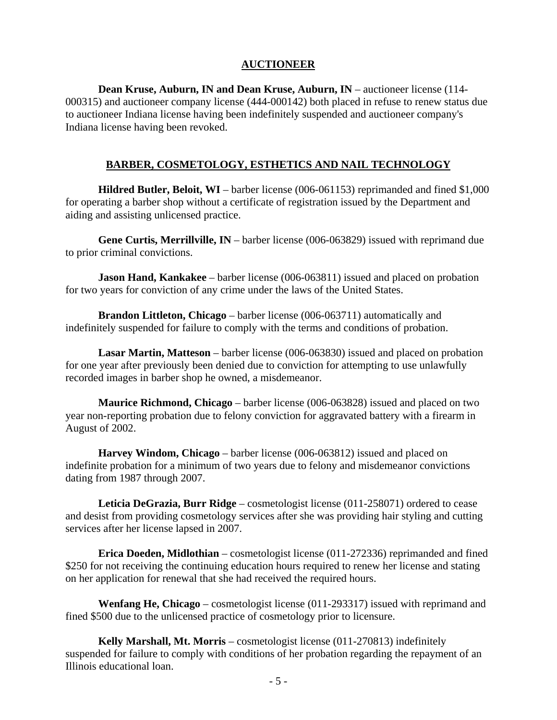#### **AUCTIONEER**

 **Dean Kruse, Auburn, IN and Dean Kruse, Auburn, IN** – auctioneer license (114- 000315) and auctioneer company license (444-000142) both placed in refuse to renew status due to auctioneer Indiana license having been indefinitely suspended and auctioneer company's Indiana license having been revoked.

#### **BARBER, COSMETOLOGY, ESTHETICS AND NAIL TECHNOLOGY**

 **Hildred Butler, Beloit, WI** – barber license (006-061153) reprimanded and fined \$1,000 for operating a barber shop without a certificate of registration issued by the Department and aiding and assisting unlicensed practice.

 **Gene Curtis, Merrillville, IN** – barber license (006-063829) issued with reprimand due to prior criminal convictions.

**Jason Hand, Kankakee** – barber license (006-063811) issued and placed on probation for two years for conviction of any crime under the laws of the United States.

 **Brandon Littleton, Chicago** – barber license (006-063711) automatically and indefinitely suspended for failure to comply with the terms and conditions of probation.

 **Lasar Martin, Matteson** – barber license (006-063830) issued and placed on probation for one year after previously been denied due to conviction for attempting to use unlawfully recorded images in barber shop he owned, a misdemeanor.

 **Maurice Richmond, Chicago** – barber license (006-063828) issued and placed on two year non-reporting probation due to felony conviction for aggravated battery with a firearm in August of 2002.

 **Harvey Windom, Chicago** – barber license (006-063812) issued and placed on indefinite probation for a minimum of two years due to felony and misdemeanor convictions dating from 1987 through 2007.

 **Leticia DeGrazia, Burr Ridge** – cosmetologist license (011-258071) ordered to cease and desist from providing cosmetology services after she was providing hair styling and cutting services after her license lapsed in 2007.

 **Erica Doeden, Midlothian** – cosmetologist license (011-272336) reprimanded and fined \$250 for not receiving the continuing education hours required to renew her license and stating on her application for renewal that she had received the required hours.

 **Wenfang He, Chicago** – cosmetologist license (011-293317) issued with reprimand and fined \$500 due to the unlicensed practice of cosmetology prior to licensure.

 **Kelly Marshall, Mt. Morris** – cosmetologist license (011-270813) indefinitely suspended for failure to comply with conditions of her probation regarding the repayment of an Illinois educational loan.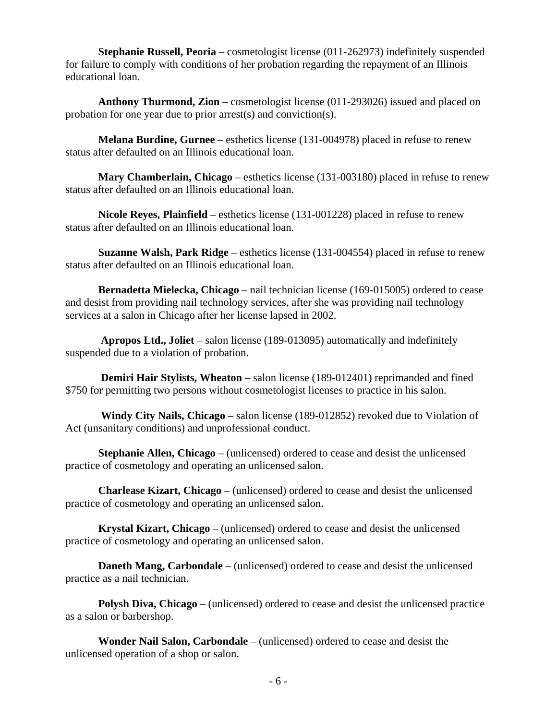**Stephanie Russell, Peoria** – cosmetologist license (011-262973) indefinitely suspended for failure to comply with conditions of her probation regarding the repayment of an Illinois educational loan.

 **Anthony Thurmond, Zion** – cosmetologist license (011-293026) issued and placed on probation for one year due to prior arrest(s) and conviction(s).

 **Melana Burdine, Gurnee** – esthetics license (131-004978) placed in refuse to renew status after defaulted on an Illinois educational loan.

 **Mary Chamberlain, Chicago** – esthetics license (131-003180) placed in refuse to renew status after defaulted on an Illinois educational loan.

 **Nicole Reyes, Plainfield** – esthetics license (131-001228) placed in refuse to renew status after defaulted on an Illinois educational loan.

 **Suzanne Walsh, Park Ridge** – esthetics license (131-004554) placed in refuse to renew status after defaulted on an Illinois educational loan.

 **Bernadetta Mielecka, Chicago** – nail technician license (169-015005) ordered to cease and desist from providing nail technology services, after she was providing nail technology services at a salon in Chicago after her license lapsed in 2002.

 **Apropos Ltd., Joliet** – salon license (189-013095) automatically and indefinitely suspended due to a violation of probation.

 **Demiri Hair Stylists, Wheaton** – salon license (189-012401) reprimanded and fined \$750 for permitting two persons without cosmetologist licenses to practice in his salon.

 **Windy City Nails, Chicago** – salon license (189-012852) revoked due to Violation of Act (unsanitary conditions) and unprofessional conduct.

 **Stephanie Allen, Chicago** – (unlicensed) ordered to cease and desist the unlicensed practice of cosmetology and operating an unlicensed salon.

 **Charlease Kizart, Chicago** – (unlicensed) ordered to cease and desist the unlicensed practice of cosmetology and operating an unlicensed salon.

 **Krystal Kizart, Chicago** – (unlicensed) ordered to cease and desist the unlicensed practice of cosmetology and operating an unlicensed salon.

 **Daneth Mang, Carbondale** – (unlicensed) ordered to cease and desist the unlicensed practice as a nail technician.

**Polysh Diva, Chicago** – (unlicensed) ordered to cease and desist the unlicensed practice as a salon or barbershop.

 **Wonder Nail Salon, Carbondale** – (unlicensed) ordered to cease and desist the unlicensed operation of a shop or salon.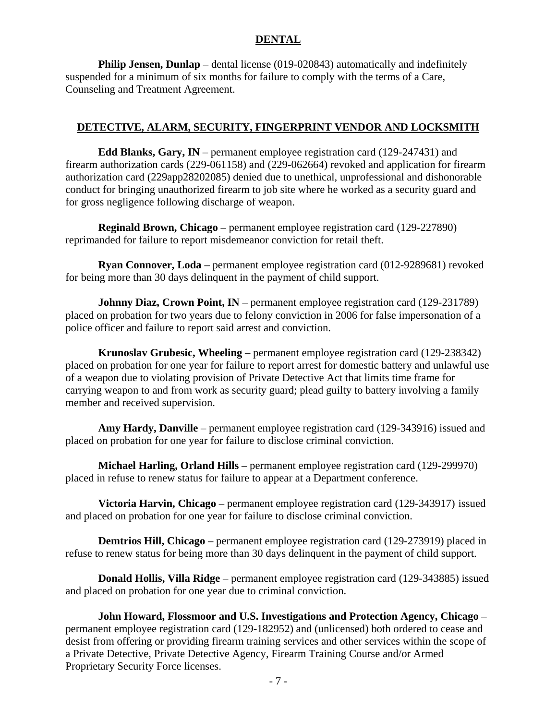#### **DENTAL**

**Philip Jensen, Dunlap** – dental license (019-020843) automatically and indefinitely suspended for a minimum of six months for failure to comply with the terms of a Care, Counseling and Treatment Agreement.

#### **DETECTIVE, ALARM, SECURITY, FINGERPRINT VENDOR AND LOCKSMITH**

 **Edd Blanks, Gary, IN** – permanent employee registration card (129-247431) and firearm authorization cards (229-061158) and (229-062664) revoked and application for firearm authorization card (229app28202085) denied due to unethical, unprofessional and dishonorable conduct for bringing unauthorized firearm to job site where he worked as a security guard and for gross negligence following discharge of weapon.

 **Reginald Brown, Chicago** – permanent employee registration card (129-227890) reprimanded for failure to report misdemeanor conviction for retail theft.

 **Ryan Connover, Loda** – permanent employee registration card (012-9289681) revoked for being more than 30 days delinquent in the payment of child support.

**Johnny Diaz, Crown Point, IN** – permanent employee registration card (129-231789) placed on probation for two years due to felony conviction in 2006 for false impersonation of a police officer and failure to report said arrest and conviction.

 **Krunoslav Grubesic, Wheeling** – permanent employee registration card (129-238342) placed on probation for one year for failure to report arrest for domestic battery and unlawful use of a weapon due to violating provision of Private Detective Act that limits time frame for carrying weapon to and from work as security guard; plead guilty to battery involving a family member and received supervision.

 **Amy Hardy, Danville** – permanent employee registration card (129-343916) issued and placed on probation for one year for failure to disclose criminal conviction.

 **Michael Harling, Orland Hills** – permanent employee registration card (129-299970) placed in refuse to renew status for failure to appear at a Department conference.

 **Victoria Harvin, Chicago** – permanent employee registration card (129-343917) issued and placed on probation for one year for failure to disclose criminal conviction.

**Demtrios Hill, Chicago** – permanent employee registration card (129-273919) placed in refuse to renew status for being more than 30 days delinquent in the payment of child support.

 **Donald Hollis, Villa Ridge** – permanent employee registration card (129-343885) issued and placed on probation for one year due to criminal conviction.

 **John Howard, Flossmoor and U.S. Investigations and Protection Agency, Chicago** – permanent employee registration card (129-182952) and (unlicensed) both ordered to cease and desist from offering or providing firearm training services and other services within the scope of a Private Detective, Private Detective Agency, Firearm Training Course and/or Armed Proprietary Security Force licenses.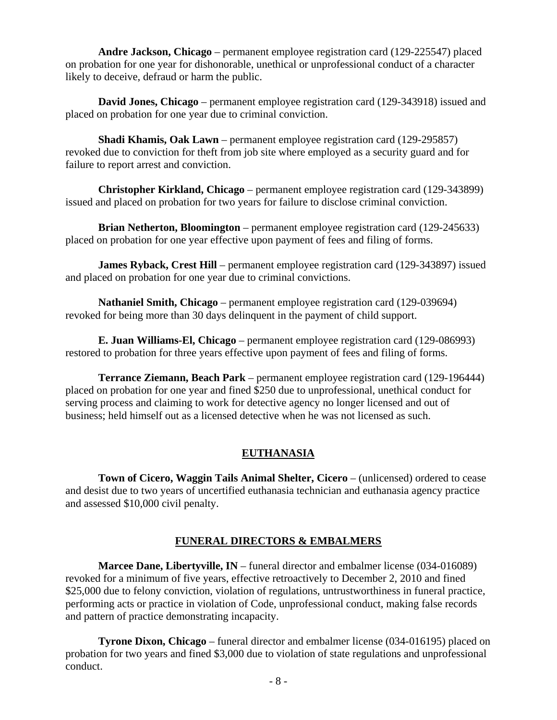**Andre Jackson, Chicago** – permanent employee registration card (129-225547) placed on probation for one year for dishonorable, unethical or unprofessional conduct of a character likely to deceive, defraud or harm the public.

 **David Jones, Chicago** – permanent employee registration card (129-343918) issued and placed on probation for one year due to criminal conviction.

 **Shadi Khamis, Oak Lawn** – permanent employee registration card (129-295857) revoked due to conviction for theft from job site where employed as a security guard and for failure to report arrest and conviction.

 **Christopher Kirkland, Chicago** – permanent employee registration card (129-343899) issued and placed on probation for two years for failure to disclose criminal conviction.

 **Brian Netherton, Bloomington** – permanent employee registration card (129-245633) placed on probation for one year effective upon payment of fees and filing of forms.

**James Ryback, Crest Hill** – permanent employee registration card (129-343897) issued and placed on probation for one year due to criminal convictions.

 **Nathaniel Smith, Chicago** – permanent employee registration card (129-039694) revoked for being more than 30 days delinquent in the payment of child support.

 **E. Juan Williams-El, Chicago** – permanent employee registration card (129-086993) restored to probation for three years effective upon payment of fees and filing of forms.

 **Terrance Ziemann, Beach Park** – permanent employee registration card (129-196444) placed on probation for one year and fined \$250 due to unprofessional, unethical conduct for serving process and claiming to work for detective agency no longer licensed and out of business; held himself out as a licensed detective when he was not licensed as such.

#### **EUTHANASIA**

 **Town of Cicero, Waggin Tails Animal Shelter, Cicero** – (unlicensed) ordered to cease and desist due to two years of uncertified euthanasia technician and euthanasia agency practice and assessed \$10,000 civil penalty.

#### **FUNERAL DIRECTORS & EMBALMERS**

 **Marcee Dane, Libertyville, IN** – funeral director and embalmer license (034-016089) revoked for a minimum of five years, effective retroactively to December 2, 2010 and fined \$25,000 due to felony conviction, violation of regulations, untrustworthiness in funeral practice, performing acts or practice in violation of Code, unprofessional conduct, making false records and pattern of practice demonstrating incapacity.

 **Tyrone Dixon, Chicago** – funeral director and embalmer license (034-016195) placed on probation for two years and fined \$3,000 due to violation of state regulations and unprofessional conduct.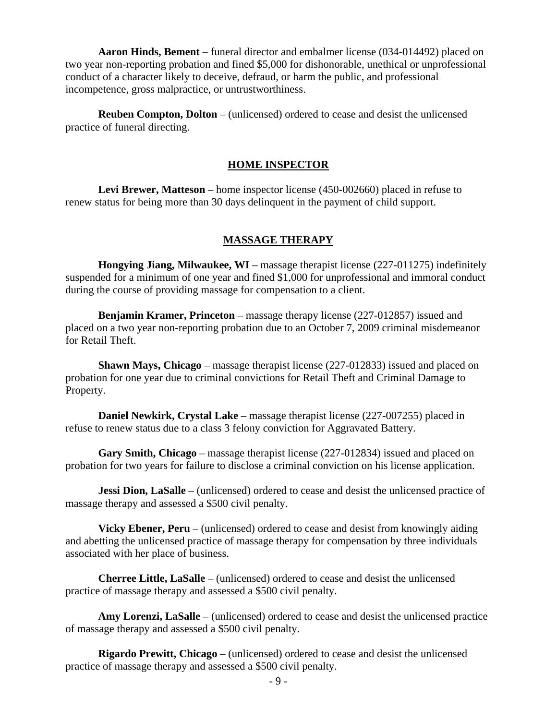**Aaron Hinds, Bement** – funeral director and embalmer license (034-014492) placed on two year non-reporting probation and fined \$5,000 for dishonorable, unethical or unprofessional conduct of a character likely to deceive, defraud, or harm the public, and professional incompetence, gross malpractice, or untrustworthiness.

 **Reuben Compton, Dolton** – (unlicensed) ordered to cease and desist the unlicensed practice of funeral directing.

#### **HOME INSPECTOR**

 **Levi Brewer, Matteson** – home inspector license (450-002660) placed in refuse to renew status for being more than 30 days delinquent in the payment of child support.

#### **MASSAGE THERAPY**

 **Hongying Jiang, Milwaukee, WI** – massage therapist license (227-011275) indefinitely suspended for a minimum of one year and fined \$1,000 for unprofessional and immoral conduct during the course of providing massage for compensation to a client.

 **Benjamin Kramer, Princeton** – massage therapy license (227-012857) issued and placed on a two year non-reporting probation due to an October 7, 2009 criminal misdemeanor for Retail Theft.

 **Shawn Mays, Chicago** – massage therapist license (227-012833) issued and placed on probation for one year due to criminal convictions for Retail Theft and Criminal Damage to Property.

 **Daniel Newkirk, Crystal Lake** – massage therapist license (227-007255) placed in refuse to renew status due to a class 3 felony conviction for Aggravated Battery.

 **Gary Smith, Chicago** – massage therapist license (227-012834) issued and placed on probation for two years for failure to disclose a criminal conviction on his license application.

**Jessi Dion, LaSalle** – (unlicensed) ordered to cease and desist the unlicensed practice of massage therapy and assessed a \$500 civil penalty.

**Vicky Ebener, Peru** – (unlicensed) ordered to cease and desist from knowingly aiding and abetting the unlicensed practice of massage therapy for compensation by three individuals associated with her place of business.

 **Cherree Little, LaSalle** – (unlicensed) ordered to cease and desist the unlicensed practice of massage therapy and assessed a \$500 civil penalty.

 **Amy Lorenzi, LaSalle** – (unlicensed) ordered to cease and desist the unlicensed practice of massage therapy and assessed a \$500 civil penalty.

 **Rigardo Prewitt, Chicago** – (unlicensed) ordered to cease and desist the unlicensed practice of massage therapy and assessed a \$500 civil penalty.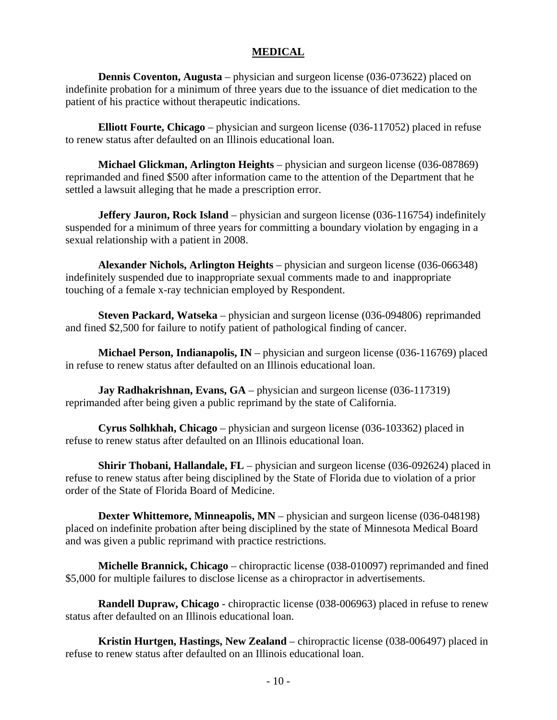#### **MEDICAL**

**Dennis Coventon, Augusta** – physician and surgeon license (036-073622) placed on indefinite probation for a minimum of three years due to the issuance of diet medication to the patient of his practice without therapeutic indications.

 **Elliott Fourte, Chicago** – physician and surgeon license (036-117052) placed in refuse to renew status after defaulted on an Illinois educational loan.

 **Michael Glickman, Arlington Heights** – physician and surgeon license (036-087869) reprimanded and fined \$500 after information came to the attention of the Department that he settled a lawsuit alleging that he made a prescription error.

**Jeffery Jauron, Rock Island** – physician and surgeon license (036-116754) indefinitely suspended for a minimum of three years for committing a boundary violation by engaging in a sexual relationship with a patient in 2008.

 **Alexander Nichols, Arlington Heights** – physician and surgeon license (036-066348) indefinitely suspended due to inappropriate sexual comments made to and inappropriate touching of a female x-ray technician employed by Respondent.

 **Steven Packard, Watseka** – physician and surgeon license (036-094806) reprimanded and fined \$2,500 for failure to notify patient of pathological finding of cancer.

 **Michael Person, Indianapolis, IN** – physician and surgeon license (036-116769) placed in refuse to renew status after defaulted on an Illinois educational loan.

**Jay Radhakrishnan, Evans, GA** – physician and surgeon license (036-117319) reprimanded after being given a public reprimand by the state of California.

 **Cyrus Solhkhah, Chicago** – physician and surgeon license (036-103362) placed in refuse to renew status after defaulted on an Illinois educational loan.

**Shirir Thobani, Hallandale, FL** – physician and surgeon license (036-092624) placed in refuse to renew status after being disciplined by the State of Florida due to violation of a prior order of the State of Florida Board of Medicine.

**Dexter Whittemore, Minneapolis, MN** – physician and surgeon license (036-048198) placed on indefinite probation after being disciplined by the state of Minnesota Medical Board and was given a public reprimand with practice restrictions.

 **Michelle Brannick, Chicago** – chiropractic license (038-010097) reprimanded and fined \$5,000 for multiple failures to disclose license as a chiropractor in advertisements.

 **Randell Dupraw, Chicago** - chiropractic license (038-006963) placed in refuse to renew status after defaulted on an Illinois educational loan.

 **Kristin Hurtgen, Hastings, New Zealand** – chiropractic license (038-006497) placed in refuse to renew status after defaulted on an Illinois educational loan.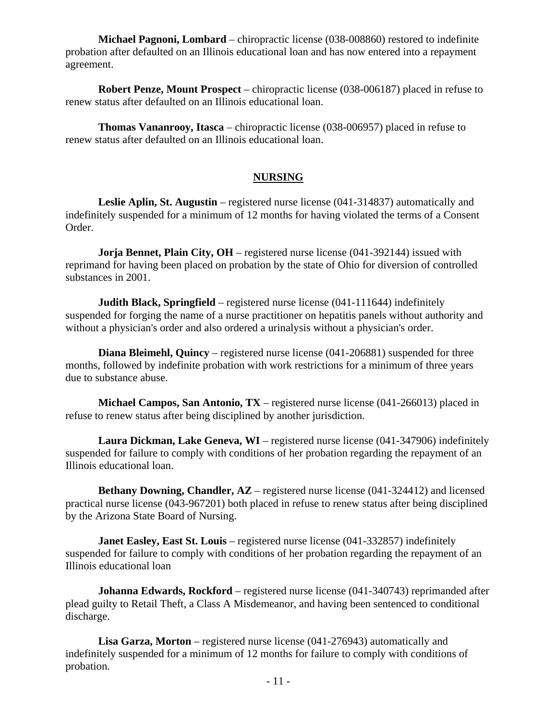**Michael Pagnoni, Lombard** – chiropractic license (038-008860) restored to indefinite probation after defaulted on an Illinois educational loan and has now entered into a repayment agreement.

 **Robert Penze, Mount Prospect** – chiropractic license (038-006187) placed in refuse to renew status after defaulted on an Illinois educational loan.

 **Thomas Vananrooy, Itasca** – chiropractic license (038-006957) placed in refuse to renew status after defaulted on an Illinois educational loan.

#### **NURSING**

 **Leslie Aplin, St. Augustin** – registered nurse license (041-314837) automatically and indefinitely suspended for a minimum of 12 months for having violated the terms of a Consent Order.

**Jorja Bennet, Plain City, OH** – registered nurse license (041-392144) issued with reprimand for having been placed on probation by the state of Ohio for diversion of controlled substances in 2001.

**Judith Black, Springfield** – registered nurse license (041-111644) indefinitely suspended for forging the name of a nurse practitioner on hepatitis panels without authority and without a physician's order and also ordered a urinalysis without a physician's order.

**Diana Bleimehl, Quincy** – registered nurse license (041-206881) suspended for three months, followed by indefinite probation with work restrictions for a minimum of three years due to substance abuse.

 **Michael Campos, San Antonio, TX** – registered nurse license (041-266013) placed in refuse to renew status after being disciplined by another jurisdiction.

 **Laura Dickman, Lake Geneva, WI** – registered nurse license (041-347906) indefinitely suspended for failure to comply with conditions of her probation regarding the repayment of an Illinois educational loan.

**Bethany Downing, Chandler, AZ** – registered nurse license (041-324412) and licensed practical nurse license (043-967201) both placed in refuse to renew status after being disciplined by the Arizona State Board of Nursing.

 **Janet Easley, East St. Louis** – registered nurse license (041-332857) indefinitely suspended for failure to comply with conditions of her probation regarding the repayment of an Illinois educational loan

 **Johanna Edwards, Rockford** – registered nurse license (041-340743) reprimanded after plead guilty to Retail Theft, a Class A Misdemeanor, and having been sentenced to conditional discharge.

 **Lisa Garza, Morton** – registered nurse license (041-276943) automatically and indefinitely suspended for a minimum of 12 months for failure to comply with conditions of probation.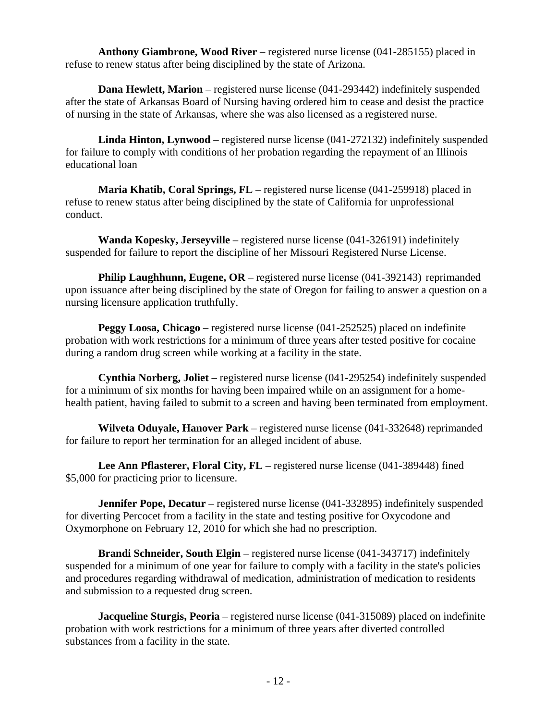**Anthony Giambrone, Wood River** – registered nurse license (041-285155) placed in refuse to renew status after being disciplined by the state of Arizona.

 **Dana Hewlett, Marion** – registered nurse license (041-293442) indefinitely suspended after the state of Arkansas Board of Nursing having ordered him to cease and desist the practice of nursing in the state of Arkansas, where she was also licensed as a registered nurse.

 **Linda Hinton, Lynwood** – registered nurse license (041-272132) indefinitely suspended for failure to comply with conditions of her probation regarding the repayment of an Illinois educational loan

 **Maria Khatib, Coral Springs, FL** – registered nurse license (041-259918) placed in refuse to renew status after being disciplined by the state of California for unprofessional conduct.

 **Wanda Kopesky, Jerseyville** – registered nurse license (041-326191) indefinitely suspended for failure to report the discipline of her Missouri Registered Nurse License.

**Philip Laughhunn, Eugene, OR** – registered nurse license (041-392143) reprimanded upon issuance after being disciplined by the state of Oregon for failing to answer a question on a nursing licensure application truthfully.

 **Peggy Loosa, Chicago** – registered nurse license (041-252525) placed on indefinite probation with work restrictions for a minimum of three years after tested positive for cocaine during a random drug screen while working at a facility in the state.

 **Cynthia Norberg, Joliet** – registered nurse license (041-295254) indefinitely suspended for a minimum of six months for having been impaired while on an assignment for a homehealth patient, having failed to submit to a screen and having been terminated from employment.

 **Wilveta Oduyale, Hanover Park** – registered nurse license (041-332648) reprimanded for failure to report her termination for an alleged incident of abuse.

 **Lee Ann Pflasterer, Floral City, FL** – registered nurse license (041-389448) fined \$5,000 for practicing prior to licensure.

**Jennifer Pope, Decatur** – registered nurse license (041-332895) indefinitely suspended for diverting Percocet from a facility in the state and testing positive for Oxycodone and Oxymorphone on February 12, 2010 for which she had no prescription.

 **Brandi Schneider, South Elgin** – registered nurse license (041-343717) indefinitely suspended for a minimum of one year for failure to comply with a facility in the state's policies and procedures regarding withdrawal of medication, administration of medication to residents and submission to a requested drug screen.

**Jacqueline Sturgis, Peoria** – registered nurse license (041-315089) placed on indefinite probation with work restrictions for a minimum of three years after diverted controlled substances from a facility in the state.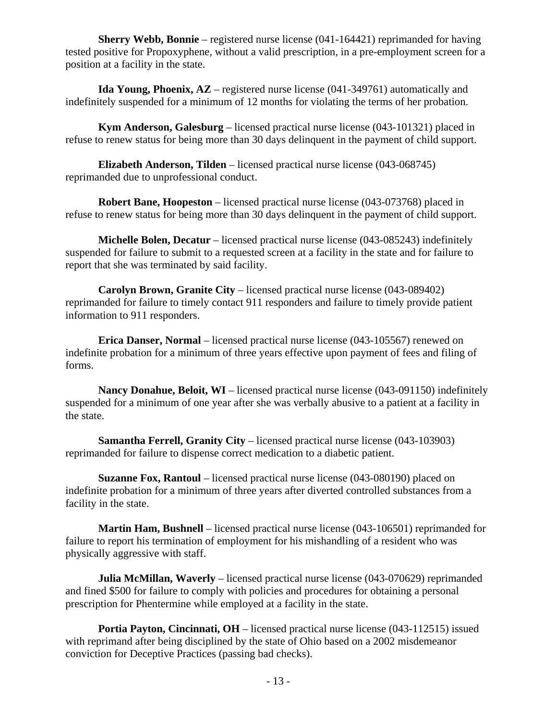**Sherry Webb, Bonnie** – registered nurse license (041-164421) reprimanded for having tested positive for Propoxyphene, without a valid prescription, in a pre-employment screen for a position at a facility in the state.

 **Ida Young, Phoenix, AZ** – registered nurse license (041-349761) automatically and indefinitely suspended for a minimum of 12 months for violating the terms of her probation.

 **Kym Anderson, Galesburg** – licensed practical nurse license (043-101321) placed in refuse to renew status for being more than 30 days delinquent in the payment of child support.

 **Elizabeth Anderson, Tilden** – licensed practical nurse license (043-068745) reprimanded due to unprofessional conduct.

 **Robert Bane, Hoopeston** – licensed practical nurse license (043-073768) placed in refuse to renew status for being more than 30 days delinquent in the payment of child support.

 **Michelle Bolen, Decatur** – licensed practical nurse license (043-085243) indefinitely suspended for failure to submit to a requested screen at a facility in the state and for failure to report that she was terminated by said facility.

 **Carolyn Brown, Granite City** – licensed practical nurse license (043-089402) reprimanded for failure to timely contact 911 responders and failure to timely provide patient information to 911 responders.

**Erica Danser, Normal** – licensed practical nurse license (043-105567) renewed on indefinite probation for a minimum of three years effective upon payment of fees and filing of forms.

 **Nancy Donahue, Beloit, WI** – licensed practical nurse license (043-091150) indefinitely suspended for a minimum of one year after she was verbally abusive to a patient at a facility in the state.

**Samantha Ferrell, Granity City** – licensed practical nurse license (043-103903) reprimanded for failure to dispense correct medication to a diabetic patient.

 **Suzanne Fox, Rantoul** – licensed practical nurse license (043-080190) placed on indefinite probation for a minimum of three years after diverted controlled substances from a facility in the state.

 **Martin Ham, Bushnell** – licensed practical nurse license (043-106501) reprimanded for failure to report his termination of employment for his mishandling of a resident who was physically aggressive with staff.

**Julia McMillan, Waverly** – licensed practical nurse license (043-070629) reprimanded and fined \$500 for failure to comply with policies and procedures for obtaining a personal prescription for Phentermine while employed at a facility in the state.

**Portia Payton, Cincinnati, OH** – licensed practical nurse license (043-112515) issued with reprimand after being disciplined by the state of Ohio based on a 2002 misdemeanor conviction for Deceptive Practices (passing bad checks).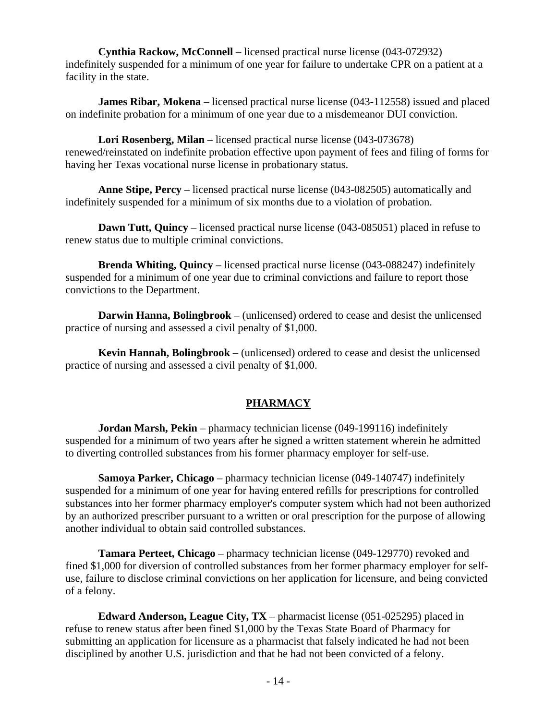**Cynthia Rackow, McConnell** – licensed practical nurse license (043-072932) indefinitely suspended for a minimum of one year for failure to undertake CPR on a patient at a facility in the state.

**James Ribar, Mokena** – licensed practical nurse license (043-112558) issued and placed on indefinite probation for a minimum of one year due to a misdemeanor DUI conviction.

 **Lori Rosenberg, Milan** – licensed practical nurse license (043-073678) renewed/reinstated on indefinite probation effective upon payment of fees and filing of forms for having her Texas vocational nurse license in probationary status.

 **Anne Stipe, Percy** – licensed practical nurse license (043-082505) automatically and indefinitely suspended for a minimum of six months due to a violation of probation.

**Dawn Tutt, Quincy** – licensed practical nurse license (043-085051) placed in refuse to renew status due to multiple criminal convictions.

 **Brenda Whiting, Quincy** – licensed practical nurse license (043-088247) indefinitely suspended for a minimum of one year due to criminal convictions and failure to report those convictions to the Department.

 **Darwin Hanna, Bolingbrook** – (unlicensed) ordered to cease and desist the unlicensed practice of nursing and assessed a civil penalty of \$1,000.

 **Kevin Hannah, Bolingbrook** – (unlicensed) ordered to cease and desist the unlicensed practice of nursing and assessed a civil penalty of \$1,000.

#### **PHARMACY**

 **Jordan Marsh, Pekin** – pharmacy technician license (049-199116) indefinitely suspended for a minimum of two years after he signed a written statement wherein he admitted to diverting controlled substances from his former pharmacy employer for self-use.

 **Samoya Parker, Chicago** – pharmacy technician license (049-140747) indefinitely suspended for a minimum of one year for having entered refills for prescriptions for controlled substances into her former pharmacy employer's computer system which had not been authorized by an authorized prescriber pursuant to a written or oral prescription for the purpose of allowing another individual to obtain said controlled substances.

 **Tamara Perteet, Chicago** – pharmacy technician license (049-129770) revoked and fined \$1,000 for diversion of controlled substances from her former pharmacy employer for selfuse, failure to disclose criminal convictions on her application for licensure, and being convicted of a felony.

 **Edward Anderson, League City, TX** – pharmacist license (051-025295) placed in refuse to renew status after been fined \$1,000 by the Texas State Board of Pharmacy for submitting an application for licensure as a pharmacist that falsely indicated he had not been disciplined by another U.S. jurisdiction and that he had not been convicted of a felony.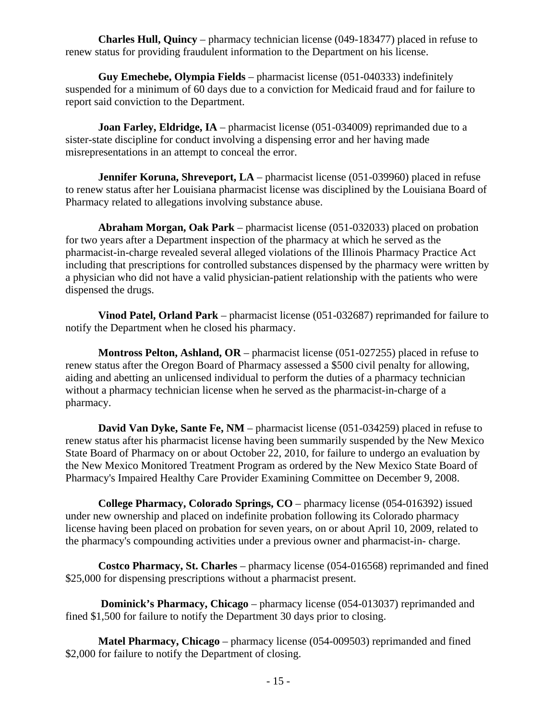**Charles Hull, Quincy** – pharmacy technician license (049-183477) placed in refuse to renew status for providing fraudulent information to the Department on his license.

 **Guy Emechebe, Olympia Fields** – pharmacist license (051-040333) indefinitely suspended for a minimum of 60 days due to a conviction for Medicaid fraud and for failure to report said conviction to the Department.

**Joan Farley, Eldridge, IA** – pharmacist license (051-034009) reprimanded due to a sister-state discipline for conduct involving a dispensing error and her having made misrepresentations in an attempt to conceal the error.

**Jennifer Koruna, Shreveport, LA** – pharmacist license (051-039960) placed in refuse to renew status after her Louisiana pharmacist license was disciplined by the Louisiana Board of Pharmacy related to allegations involving substance abuse.

 **Abraham Morgan, Oak Park** – pharmacist license (051-032033) placed on probation for two years after a Department inspection of the pharmacy at which he served as the pharmacist-in-charge revealed several alleged violations of the Illinois Pharmacy Practice Act including that prescriptions for controlled substances dispensed by the pharmacy were written by a physician who did not have a valid physician-patient relationship with the patients who were dispensed the drugs.

 **Vinod Patel, Orland Park** – pharmacist license (051-032687) reprimanded for failure to notify the Department when he closed his pharmacy.

 **Montross Pelton, Ashland, OR** – pharmacist license (051-027255) placed in refuse to renew status after the Oregon Board of Pharmacy assessed a \$500 civil penalty for allowing, aiding and abetting an unlicensed individual to perform the duties of a pharmacy technician without a pharmacy technician license when he served as the pharmacist-in-charge of a pharmacy.

**David Van Dyke, Sante Fe, NM** – pharmacist license (051-034259) placed in refuse to renew status after his pharmacist license having been summarily suspended by the New Mexico State Board of Pharmacy on or about October 22, 2010, for failure to undergo an evaluation by the New Mexico Monitored Treatment Program as ordered by the New Mexico State Board of Pharmacy's Impaired Healthy Care Provider Examining Committee on December 9, 2008.

 **College Pharmacy, Colorado Springs, CO** – pharmacy license (054-016392) issued under new ownership and placed on indefinite probation following its Colorado pharmacy license having been placed on probation for seven years, on or about April 10, 2009, related to the pharmacy's compounding activities under a previous owner and pharmacist-in- charge.

 **Costco Pharmacy, St. Charles** – pharmacy license (054-016568) reprimanded and fined \$25,000 for dispensing prescriptions without a pharmacist present.

 **Dominick's Pharmacy, Chicago** – pharmacy license (054-013037) reprimanded and fined \$1,500 for failure to notify the Department 30 days prior to closing.

 **Matel Pharmacy, Chicago** – pharmacy license (054-009503) reprimanded and fined \$2,000 for failure to notify the Department of closing.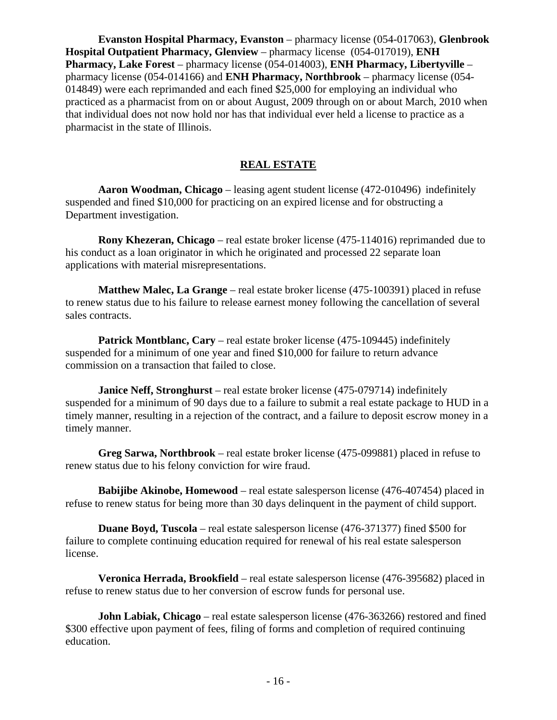**Evanston Hospital Pharmacy, Evanston** – pharmacy license (054-017063), **Glenbrook Hospital Outpatient Pharmacy, Glenview** – pharmacy license (054-017019), **ENH Pharmacy, Lake Forest** – pharmacy license (054-014003), **ENH Pharmacy, Libertyville** – pharmacy license (054-014166) and **ENH Pharmacy, Northbrook** – pharmacy license (054- 014849) were each reprimanded and each fined \$25,000 for employing an individual who practiced as a pharmacist from on or about August, 2009 through on or about March, 2010 when that individual does not now hold nor has that individual ever held a license to practice as a pharmacist in the state of Illinois.

#### **REAL ESTATE**

 **Aaron Woodman, Chicago** – leasing agent student license (472-010496) indefinitely suspended and fined \$10,000 for practicing on an expired license and for obstructing a Department investigation.

 **Rony Khezeran, Chicago** – real estate broker license (475-114016) reprimanded due to his conduct as a loan originator in which he originated and processed 22 separate loan applications with material misrepresentations.

 **Matthew Malec, La Grange** – real estate broker license (475-100391) placed in refuse to renew status due to his failure to release earnest money following the cancellation of several sales contracts.

 **Patrick Montblanc, Cary** – real estate broker license (475-109445) indefinitely suspended for a minimum of one year and fined \$10,000 for failure to return advance commission on a transaction that failed to close.

 **Janice Neff, Stronghurst** – real estate broker license (475-079714) indefinitely suspended for a minimum of 90 days due to a failure to submit a real estate package to HUD in a timely manner, resulting in a rejection of the contract, and a failure to deposit escrow money in a timely manner.

 **Greg Sarwa, Northbrook** – real estate broker license (475-099881) placed in refuse to renew status due to his felony conviction for wire fraud.

 **Babijibe Akinobe, Homewood** – real estate salesperson license (476-407454) placed in refuse to renew status for being more than 30 days delinquent in the payment of child support.

 **Duane Boyd, Tuscola** – real estate salesperson license (476-371377) fined \$500 for failure to complete continuing education required for renewal of his real estate salesperson license.

 **Veronica Herrada, Brookfield** – real estate salesperson license (476-395682) placed in refuse to renew status due to her conversion of escrow funds for personal use.

 **John Labiak, Chicago** – real estate salesperson license (476-363266) restored and fined \$300 effective upon payment of fees, filing of forms and completion of required continuing education.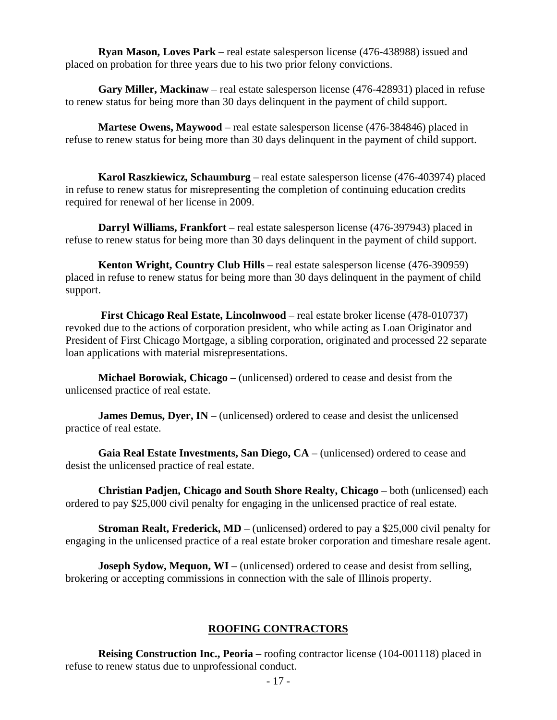**Ryan Mason, Loves Park** – real estate salesperson license (476-438988) issued and placed on probation for three years due to his two prior felony convictions.

 **Gary Miller, Mackinaw** – real estate salesperson license (476-428931) placed in refuse to renew status for being more than 30 days delinquent in the payment of child support.

 **Martese Owens, Maywood** – real estate salesperson license (476-384846) placed in refuse to renew status for being more than 30 days delinquent in the payment of child support.

 **Karol Raszkiewicz, Schaumburg** – real estate salesperson license (476-403974) placed in refuse to renew status for misrepresenting the completion of continuing education credits required for renewal of her license in 2009.

 **Darryl Williams, Frankfort** – real estate salesperson license (476-397943) placed in refuse to renew status for being more than 30 days delinquent in the payment of child support.

 **Kenton Wright, Country Club Hills** – real estate salesperson license (476-390959) placed in refuse to renew status for being more than 30 days delinquent in the payment of child support.

 **First Chicago Real Estate, Lincolnwood** – real estate broker license (478-010737) revoked due to the actions of corporation president, who while acting as Loan Originator and President of First Chicago Mortgage, a sibling corporation, originated and processed 22 separate loan applications with material misrepresentations.

 **Michael Borowiak, Chicago** – (unlicensed) ordered to cease and desist from the unlicensed practice of real estate.

**James Demus, Dyer, IN** – (unlicensed) ordered to cease and desist the unlicensed practice of real estate.

 **Gaia Real Estate Investments, San Diego, CA** – (unlicensed) ordered to cease and desist the unlicensed practice of real estate.

 **Christian Padjen, Chicago and South Shore Realty, Chicago** – both (unlicensed) each ordered to pay \$25,000 civil penalty for engaging in the unlicensed practice of real estate.

 **Stroman Realt, Frederick, MD** – (unlicensed) ordered to pay a \$25,000 civil penalty for engaging in the unlicensed practice of a real estate broker corporation and timeshare resale agent.

**Joseph Sydow, Mequon, WI** – (unlicensed) ordered to cease and desist from selling, brokering or accepting commissions in connection with the sale of Illinois property.

#### **ROOFING CONTRACTORS**

 **Reising Construction Inc., Peoria** – roofing contractor license (104-001118) placed in refuse to renew status due to unprofessional conduct.